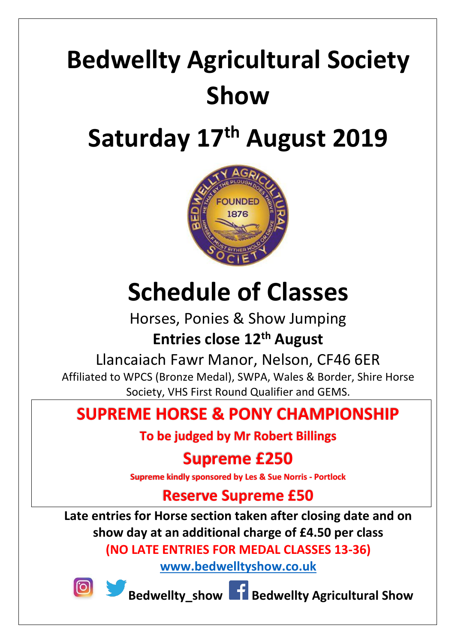# **Bedwellty Agricultural Society Show**

# **Saturday 17th August 2019**



# **Schedule of Classes**

Horses, Ponies & Show Jumping **Entries close 12th August**

Llancaiach Fawr Manor, Nelson, CF46 6ER

Affiliated to WPCS (Bronze Medal), SWPA, Wales & Border, Shire Horse Society, VHS First Round Qualifier and GEMS.

# **SUPREME HORSE & PONY CHAMPIONSHIP**

**To be judged by Mr Robert Billings**

# **Supreme £250**

**Supreme kindly sponsored by Les & Sue Norris - Portlock** 

# **Reserve Supreme £50**

**Late entries for Horse section taken after closing date and on show day at an additional charge of £4.50 per class (NO LATE ENTRIES FOR MEDAL CLASSES 13-36)**

**[www.bedwelltyshow.co.uk](http://www.bedwelltyshow.co.uk/)**



**Bedwellty\_show Bedwellty Agricultural Show**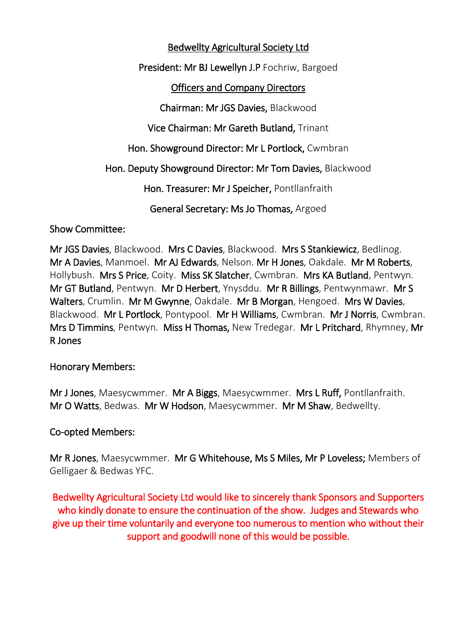# Bedwellty Agricultural Society Ltd

President: Mr BJ Lewellyn J.P Fochriw, Bargoed

# Officers and Company Directors

Chairman: Mr JGS Davies, Blackwood

Vice Chairman: Mr Gareth Butland, Trinant

Hon. Showground Director: Mr L Portlock, Cwmbran

Hon. Deputy Showground Director: Mr Tom Davies, Blackwood

Hon. Treasurer: Mr J Speicher, Pontllanfraith

General Secretary: Ms Jo Thomas, Argoed

# Show Committee:

Mr JGS Davies, Blackwood. Mrs C Davies, Blackwood. Mrs S Stankiewicz, Bedlinog. Mr A Davies, Manmoel. Mr AJ Edwards, Nelson. Mr H Jones, Oakdale. Mr M Roberts, Hollybush. Mrs S Price, Coity. Miss SK Slatcher, Cwmbran. Mrs KA Butland, Pentwyn. Mr GT Butland, Pentwyn. Mr D Herbert, Ynysddu. Mr R Billings, Pentwynmawr. Mr S Walters, Crumlin. Mr M Gwynne, Oakdale. Mr B Morgan, Hengoed. Mrs W Davies, Blackwood. Mr L Portlock, Pontypool. Mr H Williams, Cwmbran. Mr J Norris, Cwmbran. Mrs D Timmins, Pentwyn. Miss H Thomas, New Tredegar. Mr L Pritchard, Rhymney, Mr R Jones

# Honorary Members:

Mr J Jones, Maesycwmmer. Mr A Biggs, Maesycwmmer. Mrs L Ruff, Pontllanfraith. Mr O Watts, Bedwas. Mr W Hodson, Maesycwmmer. Mr M Shaw, Bedwellty.

# Co-opted Members:

Mr R Jones, Maesycwmmer. Mr G Whitehouse, Ms S Miles, Mr P Loveless; Members of Gelligaer & Bedwas YFC.

Bedwellty Agricultural Society Ltd would like to sincerely thank Sponsors and Supporters who kindly donate to ensure the continuation of the show. Judges and Stewards who give up their time voluntarily and everyone too numerous to mention who without their support and goodwill none of this would be possible.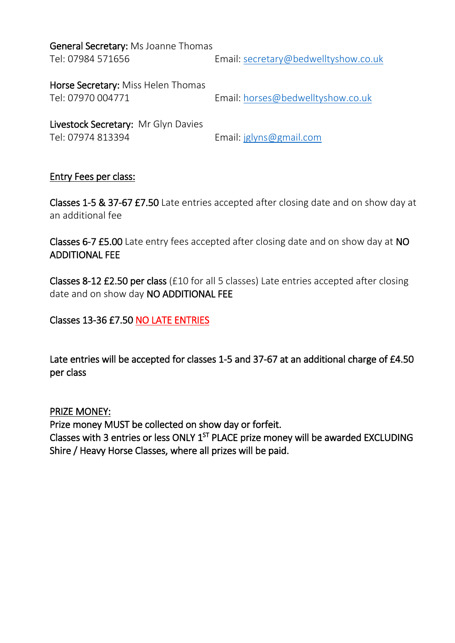General Secretary: Ms Joanne Thomas

Tel: 07984 571656 Email: [secretary@bedwelltyshow.co.uk](mailto:secretary@bedwelltyshow.co.uk)

Horse Secretary: Miss Helen Thomas

Tel: 07970 004771 Email: [horses@bedwelltyshow.co.uk](mailto:horses@bedwelltyshow.co.uk)

Livestock Secretary: Mr Glyn Davies Tel: 07974 813394 Email: [jglyns@gmail.com](mailto:jglyns@gmail.com)

# Entry Fees per class:

Classes 1-5 & 37-67 £7.50 Late entries accepted after closing date and on show day at an additional fee

Classes 6-7 £5.00 Late entry fees accepted after closing date and on show day at NO ADDITIONAL FEE

Classes 8-12 £2.50 per class (£10 for all 5 classes) Late entries accepted after closing date and on show day NO ADDITIONAL FEE

# Classes 13-36 £7.50 NO LATE ENTRIES

Late entries will be accepted for classes 1-5 and 37-67 at an additional charge of £4.50 per class

PRIZE MONEY:

Prize money MUST be collected on show day or forfeit. Classes with 3 entries or less ONLY  $1<sup>ST</sup>$  PLACE prize money will be awarded EXCLUDING Shire / Heavy Horse Classes, where all prizes will be paid.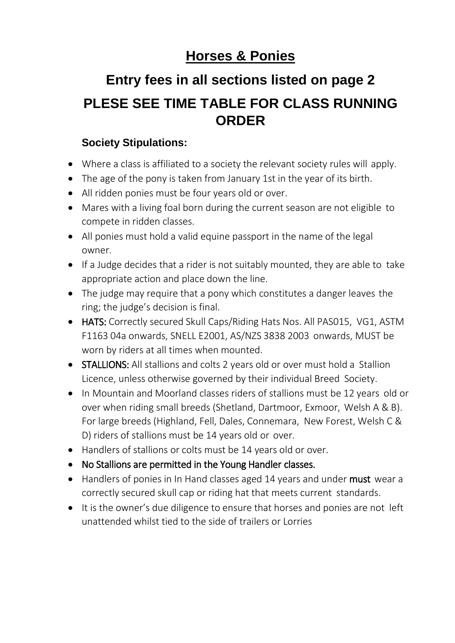# **Horses & Ponies**

# **Entry fees in all sections listed on page 2 PLESE SEE TIME TABLE FOR CLASS RUNNING ORDER**

# **Society Stipulations:**

- Where a class is affiliated to a society the relevant society rules will apply.
- The age of the pony is taken from January 1st in the year of its birth.
- All ridden ponies must be four years old or over.
- Mares with a living foal born during the current season are not eligible to compete in ridden classes.
- All ponies must hold a valid equine passport in the name of the legal owner.
- If a Judge decides that a rider is not suitably mounted, they are able to take appropriate action and place down the line.
- The judge may require that a pony which constitutes a danger leaves the ring; the judge's decision is final.
- HATS: Correctly secured Skull Caps/Riding Hats Nos. All PAS015, VG1, ASTM F1163 04a onwards, SNELL E2001, AS/NZS 3838 2003 onwards, MUST be worn by riders at all times when mounted.
- STALLIONS: All stallions and colts 2 years old or over must hold a Stallion Licence, unless otherwise governed by their individual Breed Society.
- In Mountain and Moorland classes riders of stallions must be 12 years old or over when riding small breeds (Shetland, Dartmoor, Exmoor, Welsh A & B). For large breeds (Highland, Fell, Dales, Connemara, New Forest, Welsh C & D) riders of stallions must be 14 years old or over.
- Handlers of stallions or colts must be 14 years old or over.
- No Stallions are permitted in the Young Handler classes.
- Handlers of ponies in In Hand classes aged 14 years and under must wear a correctly secured skull cap or riding hat that meets current standards.
- It is the owner's due diligence to ensure that horses and ponies are not left unattended whilst tied to the side of trailers or Lorries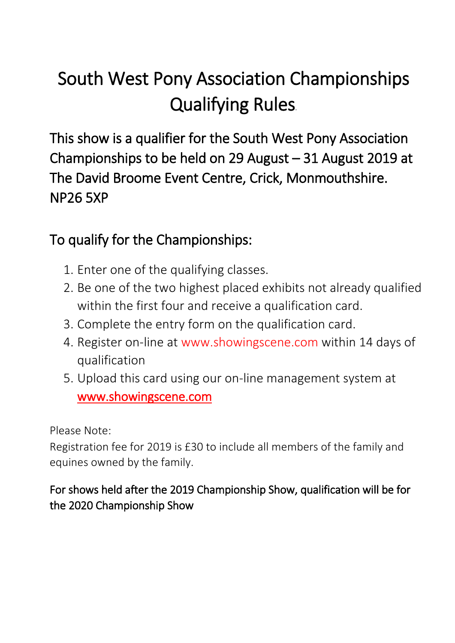# South West Pony Association Championships Qualifying Rules.

This show is a qualifier for the South West Pony Association Championships to be held on 29 August – 31 August 2019 at The David Broome Event Centre, Crick, Monmouthshire. NP26 5XP

# To qualify for the Championships:

- 1. Enter one of the qualifying classes.
- 2. Be one of the two highest placed exhibits not already qualified within the first four and receive a qualification card.
- 3. Complete the entry form on the qualification card.
- 4. Register on-line at www.showingscene.com within 14 days of qualification
- 5. Upload this card using our on-line management system at [www.showingscene.com](http://www.showingscene.com/)

Please Note:

Registration fee for 2019 is £30 to include all members of the family and equines owned by the family.

For shows held after the 2019 Championship Show, qualification will be for the 2020 Championship Show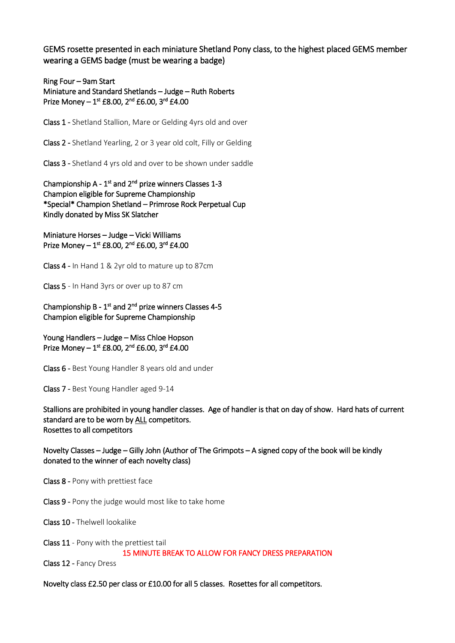GEMS rosette presented in each miniature Shetland Pony class, to the highest placed GEMS member wearing a GEMS badge (must be wearing a badge)

Ring Four – 9am Start Miniature and Standard Shetlands – Judge – Ruth Roberts Prize Money  $-1^{st}$  £8.00, 2<sup>nd</sup> £6.00, 3<sup>rd</sup> £4.00

Class 1 - Shetland Stallion, Mare or Gelding 4yrs old and over

Class 2 - Shetland Yearling, 2 or 3 year old colt, Filly or Gelding

Class 3 - Shetland 4 yrs old and over to be shown under saddle

Championship  $A - 1<sup>st</sup>$  and  $2<sup>nd</sup>$  prize winners Classes 1-3 Champion eligible for Supreme Championship \*Special\* Champion Shetland – Primrose Rock Perpetual Cup Kindly donated by Miss SK Slatcher

Miniature Horses – Judge – Vicki Williams Prize Money  $-1^{st}$  £8.00, 2<sup>nd</sup> £6.00, 3<sup>rd</sup> £4.00

Class 4 - In Hand 1 & 2yr old to mature up to 87cm

Class 5 - In Hand 3yrs or over up to 87 cm

Championship B -  $1<sup>st</sup>$  and  $2<sup>nd</sup>$  prize winners Classes 4-5 Champion eligible for Supreme Championship

Young Handlers – Judge – Miss Chloe Hopson Prize Money  $-1^{st}$  £8.00, 2<sup>nd</sup> £6.00, 3<sup>rd</sup> £4.00

Class 6 - Best Young Handler 8 years old and under

Class 7 - Best Young Handler aged 9-14

Stallions are prohibited in young handler classes. Age of handler is that on day of show. Hard hats of current standard are to be worn by ALL competitors. Rosettes to all competitors

Novelty Classes – Judge – Gilly John (Author of The Grimpots – A signed copy of the book will be kindly donated to the winner of each novelty class)

Class 8 - Pony with prettiest face

Class 9 - Pony the judge would most like to take home

Class 10 - Thelwell lookalike

Class 11 - Pony with the prettiest tail 15 MINUTE BREAK TO ALLOW FOR FANCY DRESS PREPARATION

Class 12 - Fancy Dress

Novelty class £2.50 per class or £10.00 for all 5 classes. Rosettes for all competitors.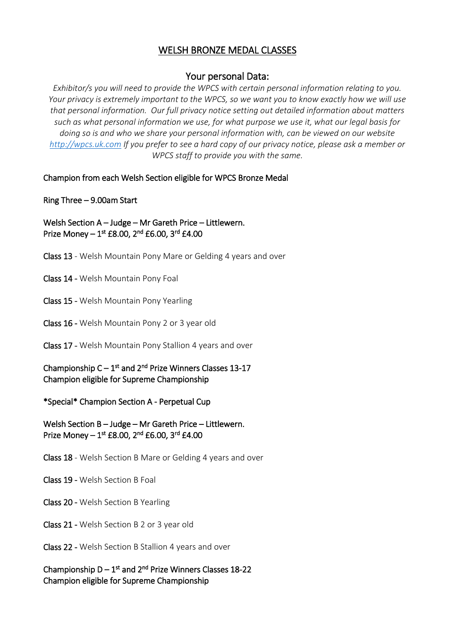# WELSH BRONZE MEDAL CLASSES

## Your personal Data:

*Exhibitor/s you will need to provide the WPCS with certain personal information relating to you. Your privacy is extremely important to the WPCS, so we want you to know exactly how we will use that personal information. Our full privacy notice setting out detailed information about matters such as what personal information we use, for what purpose we use it, what our legal basis for doing so is and who we share your personal information with, can be viewed on our website [http://wpcs.uk.com](http://wpcs.uk.com/) If you prefer to see a hard copy of our privacy notice, please ask a member or WPCS staff to provide you with the same.*

### Champion from each Welsh Section eligible for WPCS Bronze Medal

### Ring Three – 9.00am Start

Welsh Section A – Judge – Mr Gareth Price – Littlewern. Prize Money  $-1^{st}$  £8.00, 2<sup>nd</sup> £6.00, 3<sup>rd</sup> £4.00

- Class 13 Welsh Mountain Pony Mare or Gelding 4 years and over
- Class 14 Welsh Mountain Pony Foal
- Class 15 Welsh Mountain Pony Yearling
- Class 16 Welsh Mountain Pony 2 or 3 year old
- Class 17 Welsh Mountain Pony Stallion 4 years and over

Championship  $C - 1^{st}$  and  $2^{nd}$  Prize Winners Classes 13-17 Champion eligible for Supreme Championship

\*Special\* Champion Section A - Perpetual Cup

Welsh Section B – Judge – Mr Gareth Price – Littlewern. Prize Money  $-1^{st}$  £8.00, 2<sup>nd</sup> £6.00, 3<sup>rd</sup> £4.00

- Class 18 Welsh Section B Mare or Gelding 4 years and over
- Class 19 Welsh Section B Foal
- Class 20 Welsh Section B Yearling
- Class 21 Welsh Section B 2 or 3 year old
- Class 22 Welsh Section B Stallion 4 years and over

Championship  $D - 1^{st}$  and  $2^{nd}$  Prize Winners Classes 18-22 Champion eligible for Supreme Championship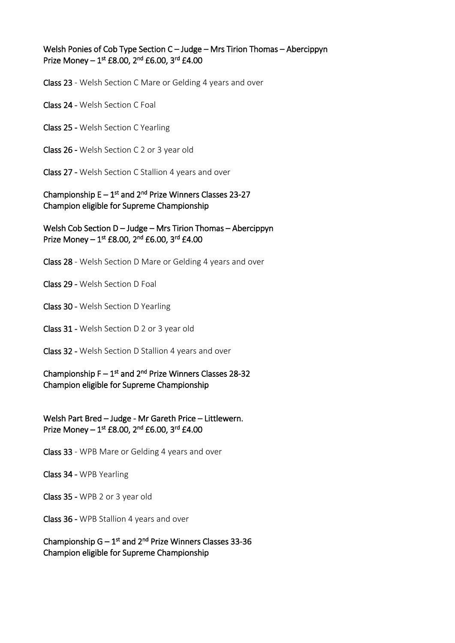## Welsh Ponies of Cob Type Section C – Judge – Mrs Tirion Thomas – Abercippyn Prize Money  $-1^{st}$  £8.00, 2<sup>nd</sup> £6.00, 3<sup>rd</sup> £4.00

Class 23 - Welsh Section C Mare or Gelding 4 years and over

Class 24 - Welsh Section C Foal

Class 25 - Welsh Section C Yearling

Class 26 - Welsh Section C 2 or 3 year old

Class 27 - Welsh Section C Stallion 4 years and over

## Championship  $E - 1^{st}$  and  $2^{nd}$  Prize Winners Classes 23-27 Champion eligible for Supreme Championship

Welsh Cob Section D – Judge – Mrs Tirion Thomas – Abercippyn Prize Money  $-1^{st}$  £8.00, 2<sup>nd</sup> £6.00, 3<sup>rd</sup> £4.00

Class 28 - Welsh Section D Mare or Gelding 4 years and over

Class 29 - Welsh Section D Foal

Class 30 - Welsh Section D Yearling

Class 31 - Welsh Section D 2 or 3 year old

Class 32 - Welsh Section D Stallion 4 years and over

Championship  $F - 1^{st}$  and  $2^{nd}$  Prize Winners Classes 28-32 Champion eligible for Supreme Championship

Welsh Part Bred – Judge - Mr Gareth Price – Littlewern. Prize Money  $-1^{st}$  £8.00, 2<sup>nd</sup> £6.00, 3<sup>rd</sup> £4.00

Class 33 - WPB Mare or Gelding 4 years and over

Class 34 - WPB Yearling

Class 35 - WPB 2 or 3 year old

Class 36 - WPB Stallion 4 years and over

Championship  $G - 1^{st}$  and  $2^{nd}$  Prize Winners Classes 33-36 Champion eligible for Supreme Championship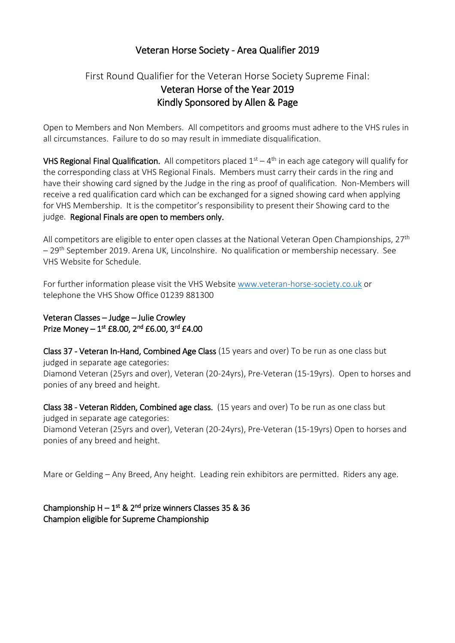# Veteran Horse Society - Area Qualifier 2019

# First Round Qualifier for the Veteran Horse Society Supreme Final: Veteran Horse of the Year 2019 Kindly Sponsored by Allen & Page

Open to Members and Non Members. All competitors and grooms must adhere to the VHS rules in all circumstances. Failure to do so may result in immediate disqualification.

VHS Regional Final Qualification. All competitors placed  $1<sup>st</sup> - 4<sup>th</sup>$  in each age category will qualify for the corresponding class at VHS Regional Finals. Members must carry their cards in the ring and have their showing card signed by the Judge in the ring as proof of qualification. Non-Members will receive a red qualification card which can be exchanged for a signed showing card when applying for VHS Membership. It is the competitor's responsibility to present their Showing card to the judge. Regional Finals are open to members only.

All competitors are eligible to enter open classes at the National Veteran Open Championships,  $27<sup>th</sup>$ – 29th September 2019. Arena UK, Lincolnshire. No qualification or membership necessary. See VHS Website for Schedule.

For further information please visit the VHS Website [www.veteran-horse-society.co.uk](http://www.veteran-horse-society.co.uk/) or telephone the VHS Show Office 01239 881300

Veteran Classes – Judge – Julie Crowley Prize Money  $-1^{st}$  £8.00, 2<sup>nd</sup> £6.00, 3<sup>rd</sup> £4.00

Class 37 - Veteran In-Hand, Combined Age Class (15 years and over) To be run as one class but judged in separate age categories: Diamond Veteran (25yrs and over), Veteran (20-24yrs), Pre-Veteran (15-19yrs). Open to horses and ponies of any breed and height.

Class 38 - Veteran Ridden, Combined age class. (15 years and over) To be run as one class but judged in separate age categories: Diamond Veteran (25yrs and over), Veteran (20-24yrs), Pre-Veteran (15-19yrs) Open to horses and ponies of any breed and height.

Mare or Gelding – Any Breed, Any height. Leading rein exhibitors are permitted. Riders any age.

Championship  $H - 1^{st}$  &  $2^{nd}$  prize winners Classes 35 & 36 Champion eligible for Supreme Championship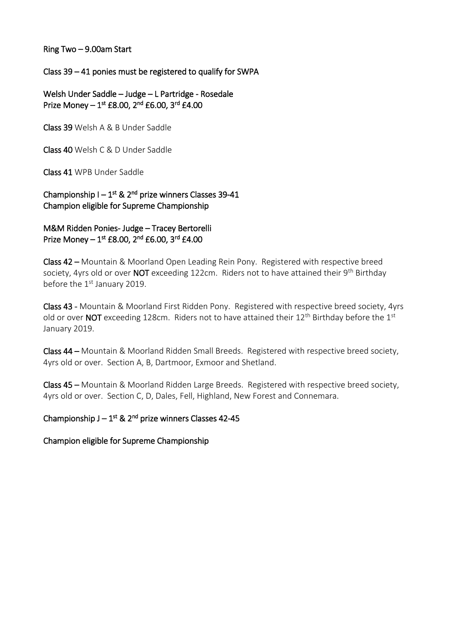Ring Two – 9.00am Start

## Class 39 – 41 ponies must be registered to qualify for SWPA

Welsh Under Saddle – Judge – L Partridge - Rosedale Prize Money  $-1^{st}$  £8.00, 2<sup>nd</sup> £6.00, 3<sup>rd</sup> £4.00

Class 39 Welsh A & B Under Saddle

Class 40 Welsh C & D Under Saddle

Class 41 WPB Under Saddle

Championship  $I - 1<sup>st</sup>$  & 2<sup>nd</sup> prize winners Classes 39-41 Champion eligible for Supreme Championship

M&M Ridden Ponies- Judge – Tracey Bertorelli Prize Money  $-1^{st}$  £8.00, 2<sup>nd</sup> £6.00, 3<sup>rd</sup> £4.00

Class 42 – Mountain & Moorland Open Leading Rein Pony. Registered with respective breed society, 4yrs old or over NOT exceeding 122cm. Riders not to have attained their 9<sup>th</sup> Birthday before the 1<sup>st</sup> January 2019.

Class 43 - Mountain & Moorland First Ridden Pony. Registered with respective breed society, 4yrs old or over NOT exceeding 128cm. Riders not to have attained their  $12<sup>th</sup>$  Birthday before the  $1<sup>st</sup>$ January 2019.

Class 44 – Mountain & Moorland Ridden Small Breeds. Registered with respective breed society, 4yrs old or over. Section A, B, Dartmoor, Exmoor and Shetland.

Class 45 – Mountain & Moorland Ridden Large Breeds. Registered with respective breed society, 4yrs old or over. Section C, D, Dales, Fell, Highland, New Forest and Connemara.

Championship  $J - 1<sup>st</sup>$  & 2<sup>nd</sup> prize winners Classes 42-45

Champion eligible for Supreme Championship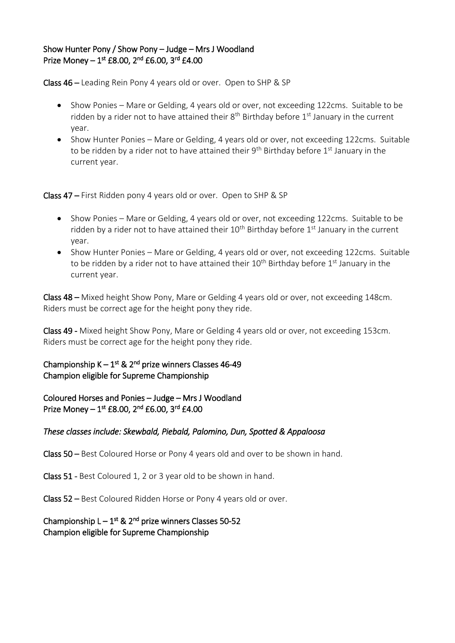## Show Hunter Pony / Show Pony – Judge – Mrs J Woodland Prize Money  $-1^{st}$  £8.00, 2<sup>nd</sup> £6.00, 3<sup>rd</sup> £4.00

Class 46 – Leading Rein Pony 4 years old or over. Open to SHP & SP

- Show Ponies Mare or Gelding, 4 years old or over, not exceeding 122cms. Suitable to be ridden by a rider not to have attained their  $8<sup>th</sup>$  Birthday before  $1<sup>st</sup>$  January in the current year.
- Show Hunter Ponies Mare or Gelding, 4 years old or over, not exceeding 122cms. Suitable to be ridden by a rider not to have attained their  $9<sup>th</sup>$  Birthday before  $1<sup>st</sup>$  January in the current year.

Class 47 – First Ridden pony 4 years old or over. Open to SHP & SP

- Show Ponies Mare or Gelding, 4 years old or over, not exceeding 122cms. Suitable to be ridden by a rider not to have attained their  $10^{th}$  Birthday before  $1^{st}$  January in the current year.
- Show Hunter Ponies Mare or Gelding, 4 years old or over, not exceeding 122cms. Suitable to be ridden by a rider not to have attained their  $10^{th}$  Birthday before  $1^{st}$  January in the current year.

Class 48 – Mixed height Show Pony, Mare or Gelding 4 years old or over, not exceeding 148cm. Riders must be correct age for the height pony they ride.

Class 49 - Mixed height Show Pony, Mare or Gelding 4 years old or over, not exceeding 153cm. Riders must be correct age for the height pony they ride.

Championship  $K - 1^{st}$  & 2<sup>nd</sup> prize winners Classes 46-49 Champion eligible for Supreme Championship

Coloured Horses and Ponies – Judge – Mrs J Woodland Prize Money  $-1^{st}$  £8.00, 2<sup>nd</sup> £6.00, 3<sup>rd</sup> £4.00

### *These classes include: Skewbald, Piebald, Palomino, Dun, Spotted & Appaloosa*

Class 50 – Best Coloured Horse or Pony 4 years old and over to be shown in hand.

Class 51 - Best Coloured 1, 2 or 3 year old to be shown in hand.

Class 52 – Best Coloured Ridden Horse or Pony 4 years old or over.

### Championship  $L - 1^{st}$  &  $2^{nd}$  prize winners Classes 50-52 Champion eligible for Supreme Championship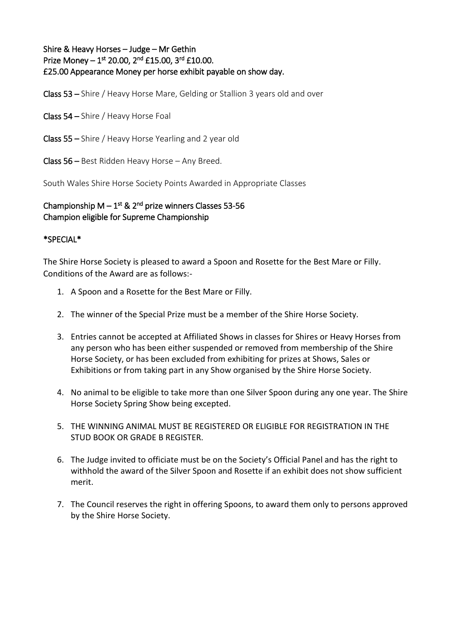Shire & Heavy Horses – Judge – Mr Gethin Prize Money  $-1^{st}$  20.00,  $2^{nd}$  £15.00,  $3^{rd}$  £10.00. £25.00 Appearance Money per horse exhibit payable on show day.

Class 53 – Shire / Heavy Horse Mare, Gelding or Stallion 3 years old and over

Class 54 – Shire / Heavy Horse Foal

Class 55 – Shire / Heavy Horse Yearling and 2 year old

Class 56 – Best Ridden Heavy Horse – Any Breed.

South Wales Shire Horse Society Points Awarded in Appropriate Classes

### Championship  $M - 1^{st}$  & 2<sup>nd</sup> prize winners Classes 53-56 Champion eligible for Supreme Championship

#### \*SPECIAL\*

The Shire Horse Society is pleased to award a Spoon and Rosette for the Best Mare or Filly. Conditions of the Award are as follows:-

- 1. A Spoon and a Rosette for the Best Mare or Filly.
- 2. The winner of the Special Prize must be a member of the Shire Horse Society.
- 3. Entries cannot be accepted at Affiliated Shows in classes for Shires or Heavy Horses from any person who has been either suspended or removed from membership of the Shire Horse Society, or has been excluded from exhibiting for prizes at Shows, Sales or Exhibitions or from taking part in any Show organised by the Shire Horse Society.
- 4. No animal to be eligible to take more than one Silver Spoon during any one year. The Shire Horse Society Spring Show being excepted.
- 5. THE WINNING ANIMAL MUST BE REGISTERED OR ELIGIBLE FOR REGISTRATION IN THE STUD BOOK OR GRADE B REGISTER.
- 6. The Judge invited to officiate must be on the Society's Official Panel and has the right to withhold the award of the Silver Spoon and Rosette if an exhibit does not show sufficient merit.
- 7. The Council reserves the right in offering Spoons, to award them only to persons approved by the Shire Horse Society.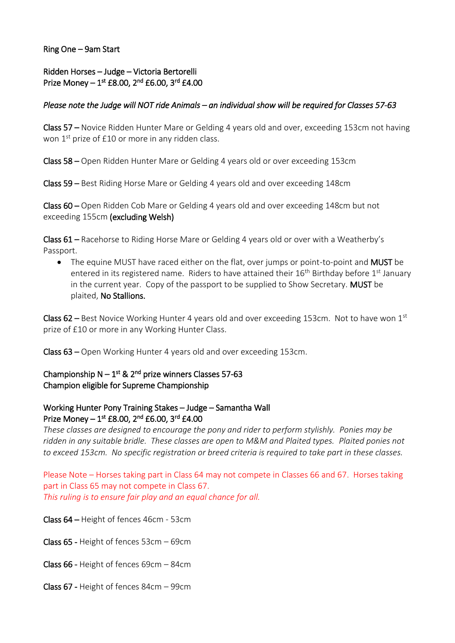#### Ring One – 9am Start

## Ridden Horses – Judge – Victoria Bertorelli Prize Money  $-1^{st}$  £8.00, 2<sup>nd</sup> £6.00, 3<sup>rd</sup> £4.00

#### *Please note the Judge will NOT ride Animals – an individual show will be required for Classes 57-63*

Class 57 – Novice Ridden Hunter Mare or Gelding 4 years old and over, exceeding 153cm not having won 1<sup>st</sup> prize of £10 or more in any ridden class.

Class 58 – Open Ridden Hunter Mare or Gelding 4 years old or over exceeding 153cm

Class 59 – Best Riding Horse Mare or Gelding 4 years old and over exceeding 148cm

Class 60 – Open Ridden Cob Mare or Gelding 4 years old and over exceeding 148cm but not exceeding 155cm (excluding Welsh)

Class 61 – Racehorse to Riding Horse Mare or Gelding 4 years old or over with a Weatherby's Passport.

• The equine MUST have raced either on the flat, over jumps or point-to-point and MUST be entered in its registered name. Riders to have attained their  $16<sup>th</sup>$  Birthday before  $1<sup>st</sup>$  January in the current year. Copy of the passport to be supplied to Show Secretary. MUST be plaited, No Stallions.

Class  $62$  – Best Novice Working Hunter 4 years old and over exceeding 153cm. Not to have won 1st prize of £10 or more in any Working Hunter Class.

Class 63 – Open Working Hunter 4 years old and over exceeding 153cm.

## Championship  $N - 1^{st}$  & 2<sup>nd</sup> prize winners Classes 57-63 Champion eligible for Supreme Championship

### Working Hunter Pony Training Stakes – Judge – Samantha Wall Prize Money  $-1^{st}$  £8.00, 2<sup>nd</sup> £6.00, 3<sup>rd</sup> £4.00

*These classes are designed to encourage the pony and rider to perform stylishly. Ponies may be ridden in any suitable bridle. These classes are open to M&M and Plaited types. Plaited ponies not to exceed 153cm. No specific registration or breed criteria is required to take part in these classes.*

Please Note – Horses taking part in Class 64 may not compete in Classes 66 and 67. Horses taking part in Class 65 may not compete in Class 67. *This ruling is to ensure fair play and an equal chance for all.*

Class 64 – Height of fences 46cm - 53cm

Class 65 - Height of fences 53cm – 69cm

Class 66 - Height of fences 69cm – 84cm

Class 67 - Height of fences 84cm – 99cm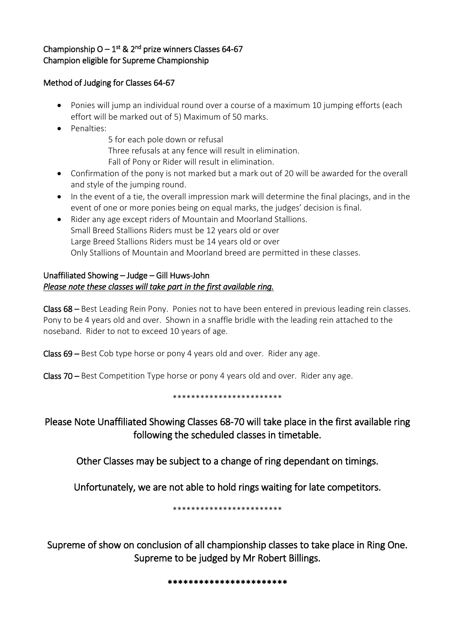# Championship  $O - 1^{st}$  & 2<sup>nd</sup> prize winners Classes 64-67 Champion eligible for Supreme Championship

### Method of Judging for Classes 64-67

- Ponies will jump an individual round over a course of a maximum 10 jumping efforts (each effort will be marked out of 5) Maximum of 50 marks.
- Penalties:
	- 5 for each pole down or refusal
	- Three refusals at any fence will result in elimination.
	- Fall of Pony or Rider will result in elimination.
- Confirmation of the pony is not marked but a mark out of 20 will be awarded for the overall and style of the jumping round.
- In the event of a tie, the overall impression mark will determine the final placings, and in the event of one or more ponies being on equal marks, the judges' decision is final.
- Rider any age except riders of Mountain and Moorland Stallions. Small Breed Stallions Riders must be 12 years old or over Large Breed Stallions Riders must be 14 years old or over Only Stallions of Mountain and Moorland breed are permitted in these classes.

## Unaffiliated Showing – Judge – Gill Huws-John *Please note these classes will take part in the first available ring.*

Class 68 – Best Leading Rein Pony. Ponies not to have been entered in previous leading rein classes. Pony to be 4 years old and over. Shown in a snaffle bridle with the leading rein attached to the noseband. Rider to not to exceed 10 years of age.

Class 69 – Best Cob type horse or pony 4 years old and over. Rider any age.

Class 70 – Best Competition Type horse or pony 4 years old and over. Rider any age.

#### \*\*\*\*\*\*\*\*\*\*\*\*\*\*\*\*\*\*\*\*\*\*\*\*

Please Note Unaffiliated Showing Classes 68-70 will take place in the first available ring following the scheduled classes in timetable.

Other Classes may be subject to a change of ring dependant on timings.

Unfortunately, we are not able to hold rings waiting for late competitors.

\*\*\*\*\*\*\*\*\*\*\*\*\*\*\*\*\*\*\*\*\*\*\*\*

Supreme of show on conclusion of all championship classes to take place in Ring One. Supreme to be judged by Mr Robert Billings.

#### \*\*\*\*\*\*\*\*\*\*\*\*\*\*\*\*\*\*\*\*\*\*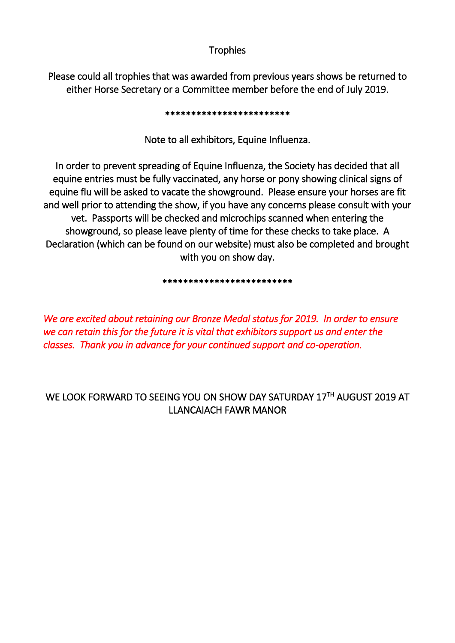# **Trophies**

Please could all trophies that was awarded from previous years shows be returned to either Horse Secretary or a Committee member before the end of July 2019.

#### \*\*\*\*\*\*\*\*\*\*\*\*\*\*\*\*\*\*\*\*\*\*\*\*

Note to all exhibitors, Equine Influenza.

In order to prevent spreading of Equine Influenza, the Society has decided that all equine entries must be fully vaccinated, any horse or pony showing clinical signs of equine flu will be asked to vacate the showground. Please ensure your horses are fit and well prior to attending the show, if you have any concerns please consult with your vet. Passports will be checked and microchips scanned when entering the showground, so please leave plenty of time for these checks to take place. A Declaration (which can be found on our website) must also be completed and brought with you on show day.

#### \*\*\*\*\*\*\*\*\*\*\*\*\*\*\*\*\*\*\*\*\*\*\*\*\*

*We are excited about retaining our Bronze Medal status for 2019. In order to ensure we can retain this for the future it is vital that exhibitors support us and enter the classes. Thank you in advance for your continued support and co-operation.* 

# WE LOOK FORWARD TO SEEING YOU ON SHOW DAY SATURDAY 17TH AUGUST 2019 AT LLANCAIACH FAWR MANOR